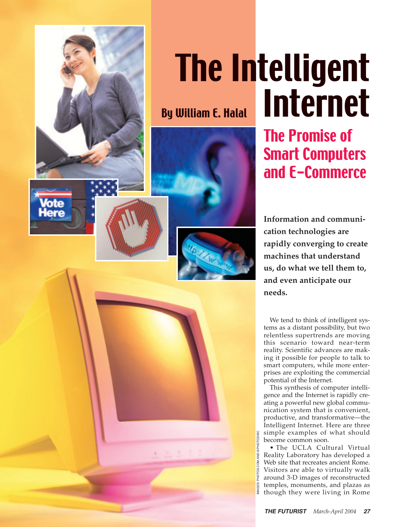

## The Intelligent Internet

The Promise of Smart Computers and E-Commerce

**Information and communication technologies are rapidly converging to create machines that understand us, do what we tell them to, and even anticipate our needs.**

We tend to think of intelligent systems as a distant possibility, but two relentless supertrends are moving this scenario toward near-term reality. Scientific advances are making it possible for people to talk to smart computers, while more enterprises are exploiting the commercial potential of the Internet.

This synthesis of computer intelligence and the Internet is rapidly creating a powerful new global communication system that is convenient, productive, and transformative—the Intelligent Internet. Here are three simple examples of what should become common soon.

• The UCLA Cultural Virtual Reality Laboratory has developed a Web site that recreates ancient Rome. Visitors are able to virtually walk around 3-D images of reconstructed temples, monuments, and plazas as though they were living in Rome

IMAGES: PHOTOS.COM AND © PHOTODISC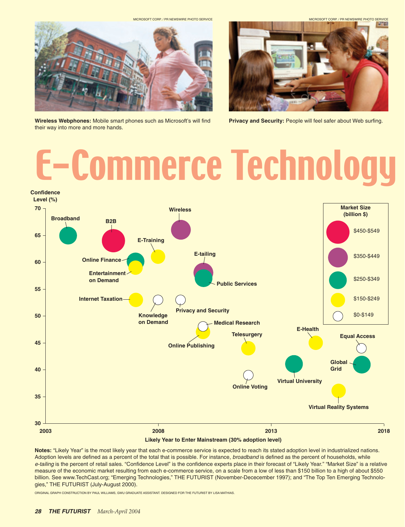MICROSOFT CORP. / PR NEWSWIRE PHOTO SERVICE

MICROSOFT CORP. / PR NEWSWIRE PHOTO SERVICE



**Wireless Webphones:** Mobile smart phones such as Microsoft's will find their way into more and more hands.



**Privacy and Security: People will feel safer about Web surfing.** 

# E-Commerce Technology



**Notes:** "Likely Year" is the most likely year that each e-commerce service is expected to reach its stated adoption level in industrialized nations. Adoption levels are defined as a percent of the total that is possible. For instance, *broadband* is defined as the percent of households, while *e-tailing* is the percent of retail sales. "Confidence Level" is the confidence experts place in their forecast of "Likely Year." "Market Size" is a relative measure of the economic market resulting from each e-commerce service, on a scale from a low of less than \$150 billion to a high of about \$550 billion. See www.TechCast.org; "Emerging Technologies," THE FUTURIST (November-Dececember 1997); and "The Top Ten Emerging Technologies," THE FUTURIST (July-August 2000).

ORIGINAL GRAPH CONSTRUCTION BY PAUL WILLIAMS, GWU GRADUATE ASSISTANT. DESIGNED FOR THE FUTURIST BY LISA MATHIAS.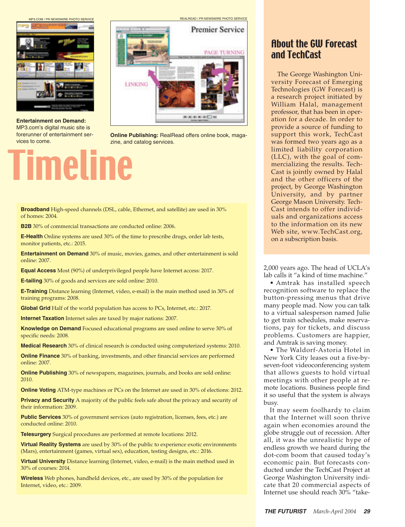MP3.COM / PR NEWSWIRE PHOTO SERVICE



**Entertainment on Demand:** MP3.com's digital music site is forerunner of entertainment services to come.

# Timeline

**Premier Service** PAGE TURNING LINKING **KAINAIEIN** 

REALREAD / PR NEWSWIRE PHOTO SERVICE

**Online Publishing:** RealRead offers online book, magazine, and catalog services.

**Broadband** High-speed channels (DSL, cable, Ethernet, and satellite) are used in 30% of homes: 2004.

**B2B** 30% of commercial transactions are conducted online: 2006.

**E-Health** Online systems are used 30% of the time to prescribe drugs, order lab tests, monitor patients, etc.: 2015.

**Entertainment on Demand** 30% of music, movies, games, and other entertainment is sold online: 2007.

**Equal Access** Most (90%) of underprivileged people have Internet access: 2017.

**E-tailing** 30% of goods and services are sold online: 2010.

**E-Training** Distance learning (Internet, video, e-mail) is the main method used in 30% of training programs: 2008.

**Global Grid** Half of the world population has access to PCs, Internet, etc.: 2017.

**Internet Taxation** Internet sales are taxed by major nations: 2007.

**Knowledge on Demand** Focused educational programs are used online to serve 30% of specific needs: 2008.

**Medical Research** 30% of clinical research is conducted using computerized systems: 2010.

**Online Finance** 30% of banking, investments, and other financial services are performed online: 2007.

**Online Publishing** 30% of newspapers, magazines, journals, and books are sold online: 2010.

**Online Voting** ATM-type machines or PCs on the Internet are used in 30% of elections: 2012.

**Privacy and Security** A majority of the public feels safe about the privacy and security of their information: 2009.

**Public Services** 30% of government services (auto registration, licenses, fees, etc.) are conducted online: 2010.

**Telesurgery** Surgical procedures are performed at remote locations: 2012.

**Virtual Reality Systems** are used by 30% of the public to experience exotic environments (Mars), entertainment (games, virtual sex), education, testing designs, etc.: 2016.

**Virtual University** Distance learning (Internet, video, e-mail) is the main method used in 30% of courses: 2014.

**Wireless** Web phones, handheld devices, etc., are used by 30% of the population for Internet, video, etc.: 2009.

### About the GW Forecast and TechCast

The George Washington University Forecast of Emerging Technologies (GW Forecast) is a research project initiated by William Halal, management professor, that has been in operation for a decade. In order to provide a source of funding to support this work, TechCast was formed two years ago as a limited liability corporation (LLC), with the goal of commercializing the results. Tech-Cast is jointly owned by Halal and the other officers of the project, by George Washington University, and by partner George Mason University. Tech-Cast intends to offer individuals and organizations access to the information on its new Web site, www.TechCast.org, on a subscription basis.

2,000 years ago. The head of UCLA's lab calls it "a kind of time machine."

• Amtrak has installed speech recognition software to replace the button-pressing menus that drive many people mad. Now you can talk to a virtual salesperson named Julie to get train schedules, make reservations, pay for tickets, and discuss problems. Customers are happier, and Amtrak is saving money.

• The Waldorf-Astoria Hotel in New York City leases out a five-byseven-foot videoconferencing system that allows guests to hold virtual meetings with other people at remote locations. Business people find it so useful that the system is always busy.

It may seem foolhardy to claim that the Internet will soon thrive again when economies around the globe struggle out of recession. After all, it was the unrealistic hype of endless growth we heard during the dot-com boom that caused today's economic pain. But forecasts conducted under the TechCast Project at George Washington University indicate that 20 commercial aspects of Internet use should reach 30% "take-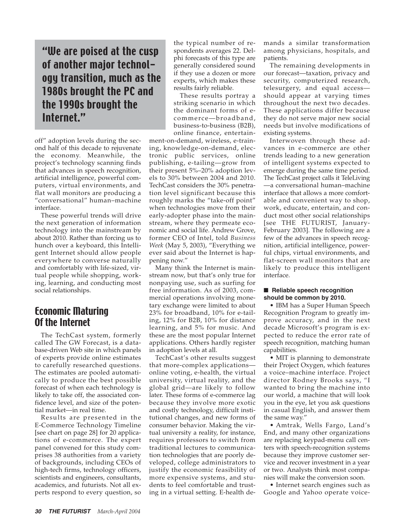## "We are poised at the cusp of another major technology transition, much as the 1980s brought the PC and the 1990s brought the Internet."

off" adoption levels during the second half of this decade to rejuvenate the economy. Meanwhile, the project's technology scanning finds that advances in speech recognition, artificial intelligence, powerful computers, virtual environments, and flat wall monitors are producing a "conversational" human–machine interface.

These powerful trends will drive the next generation of information technology into the mainstream by about 2010. Rather than forcing us to hunch over a keyboard, this Intelligent Internet should allow people everywhere to converse naturally and comfortably with life-sized, virtual people while shopping, working, learning, and conducting most social relationships.

### Economic Maturing Of the Internet

The TechCast system, formerly called The GW Forecast, is a database-driven Web site in which panels of experts provide online estimates to carefully researched questions. The estimates are pooled automatically to produce the best possible forecast of when each technology is likely to take off, the associated confidence level, and size of the potential market—in real time.

Results are presented in the E-Commerce Technology Timeline [see chart on page 28] for 20 applications of e-commerce. The expert panel convened for this study comprises 38 authorities from a variety of backgrounds, including CEOs of high-tech firms, technology officers, scientists and engineers, consultants, academics, and futurists. Not all experts respond to every question, so

the typical number of respondents averages 22. Delphi forecasts of this type are generally considered sound if they use a dozen or more experts, which makes these results fairly reliable.

These results portray a striking scenario in which the dominant forms of ecommerce—broadband, business-to-business (B2B), online finance, entertain-

ment-on-demand, wireless, e-training, knowledge-on-demand, electronic public services, online publishing, e-tailing—grow from their present 5%–20% adoption levels to 30% between 2004 and 2010. TechCast considers the 30% penetration level significant because this roughly marks the "take-off point" when technologies move from their early-adopter phase into the mainstream, where they permeate economic and social life. Andrew Grove, former CEO of Intel, told *Business Week* (May 5, 2003), "Everything we ever said about the Internet is happening now."

Many think the Internet is mainstream now, but that's only true for nonpaying use, such as surfing for free information. As of 2003, commercial operations involving monetary exchange were limited to about 23% for broadband, 10% for e-tailing, 12% for B2B, 10% for distance learning, and 5% for music. And these are the most popular Internet applications. Others hardly register in adoption levels at all.

TechCast's other results suggest that more-complex applications online voting, e-health, the virtual university, virtual reality, and the global grid—are likely to follow later. These forms of e-commerce lag because they involve more exotic and costly technology, difficult institutional changes, and new forms of consumer behavior. Making the virtual university a reality, for instance, requires professors to switch from traditional lectures to communication technologies that are poorly developed, college administrators to justify the economic feasibility of more expensive systems, and students to feel comfortable and trusting in a virtual setting. E-health demands a similar transformation among physicians, hospitals, and patients.

The remaining developments in our forecast—taxation, privacy and security, computerized research, telesurgery, and equal access should appear at varying times throughout the next two decades. These applications differ because they do not serve major new social needs but involve modifications of existing systems.

Interwoven through these advances in e-commerce are other trends leading to a new generation of intelligent systems expected to emerge during the same time period. The TechCast project calls it TeleLiving —a conversational human–machine interface that allows a more comfortable and convenient way to shop, work, educate, entertain, and conduct most other social relationships [see THE FUTURIST, January-February 2003]. The following are a few of the advances in speech recognition, artificial intelligence, powerful chips, virtual environments, and flat-screen wall monitors that are likely to produce this intelligent interface.

#### ■ **Reliable speech recognition should be common by 2010.**

• IBM has a Super Human Speech Recognition Program to greatly improve accuracy, and in the next decade Microsoft's program is expected to reduce the error rate of speech recognition, matching human capabilities.

• MIT is planning to demonstrate their Project Oxygen, which features a voice–machine interface. Project director Rodney Brooks says, "I wanted to bring the machine into our world, a machine that will look you in the eye, let you ask questions in casual English, and answer them the same way."

• Amtrak, Wells Fargo, Land's End, and many other organizations are replacing keypad-menu call centers with speech-recognition systems because they improve customer service and recover investment in a year or two. Analysts think most companies will make the conversion soon.

• Internet search engines such as Google and Yahoo operate voice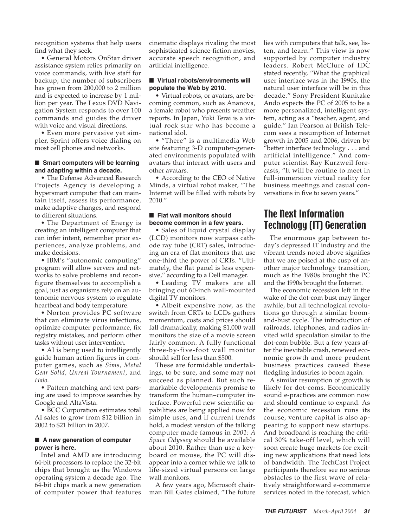recognition systems that help users find what they seek.

• General Motors OnStar driver assistance system relies primarily on voice commands, with live staff for backup; the number of subscribers has grown from 200,000 to 2 million and is expected to increase by 1 million per year. The Lexus DVD Navigation System responds to over 100 commands and guides the driver with voice and visual directions.

• Even more pervasive yet simpler, Sprint offers voice dialing on most cell phones and networks.

#### ■ **Smart computers will be learning and adapting within a decade.**

• The Defense Advanced Research Projects Agency is developing a hypersmart computer that can maintain itself, assess its performance, make adaptive changes, and respond to different situations.

• The Department of Energy is creating an intelligent computer that can infer intent, remember prior experiences, analyze problems, and make decisions.

• IBM's "autonomic computing" program will allow servers and networks to solve problems and reconfigure themselves to accomplish a goal, just as organisms rely on an autonomic nervous system to regulate heartbeat and body temperature.

• Norton provides PC software that can eliminate virus infections, optimize computer performance, fix registry mistakes, and perform other tasks without user intervention.

• AI is being used to intelligently guide human action figures in computer games, such as *Sims, Metal Gear Solid, Unreal Tournament,* and *Halo.*

• Pattern matching and text parsing are used to improve searches by Google and AltaVista.

• BCC Corporation estimates total AI sales to grow from \$12 billion in 2002 to \$21 billion in 2007.

#### ■ A new generation of computer **power is here.**

Intel and AMD are introducing 64-bit processors to replace the 32-bit chips that brought us the Windows operating system a decade ago. The 64-bit chips mark a new generation of computer power that features cinematic displays rivaling the most sophisticated science-fiction movies, accurate speech recognition, and artificial intelligence.

#### ■ Virtual robots/environments will **populate the Web by 2010.**

• Virtual robots, or avatars, are becoming common, such as Ananova, a female robot who presents weather reports. In Japan, Yuki Terai is a virtual rock star who has become a national idol.

• "There" is a multimedia Web site featuring 3-D computer-generated environments populated with avatars that interact with users and other avatars.

• According to the CEO of Native Minds, a virtual robot maker, "The Internet will be filled with robots by 2010."

#### ■ Flat wall monitors should **become common in a few years.**

• Sales of liquid crystal display (LCD) monitors now surpass cathode ray tube (CRT) sales, introducing an era of flat monitors that use one-third the power of CRTs. "Ultimately, the flat panel is less expensive," according to a Dell manager.

• Leading TV makers are all bringing out 60-inch wall-mounted digital TV monitors.

• Albeit expensive now, as the switch from CRTs to LCDs gathers momentum, costs and prices should fall dramatically, making \$1,000 wall monitors the size of a movie screen fairly common. A fully functional three-by-five-foot wall monitor should sell for less than \$500.

These are formidable undertakings, to be sure, and some may not succeed as planned. But such remarkable developments promise to transform the human–computer interface. Powerful new scientific capabilities are being applied now for simple uses, and if current trends hold, a modest version of the talking computer made famous in *2001: A Space Odyssey* should be available about 2010. Rather than use a keyboard or mouse, the PC will disappear into a corner while we talk to life-sized virtual persons on large wall monitors.

A few years ago, Microsoft chairman Bill Gates claimed, "The future lies with computers that talk, see, listen, and learn." This view is now supported by computer industry leaders. Robert McClure of IDC stated recently, "What the graphical user interface was in the 1990s, the natural user interface will be in this decade." Sony President Kunitake Ando expects the PC of 2005 to be a more personalized, intelligent system, acting as a "teacher, agent, and guide." Ian Pearson at British Telecom sees a resumption of Internet growth in 2005 and 2006, driven by "better interface technology . . . and artificial intelligence." And computer scientist Ray Kurzweil forecasts, "It will be routine to meet in full-immersion virtual reality for business meetings and casual conversations in five to seven years."

### The Next Information Technology (IT) Generation

The enormous gap between today's depressed IT industry and the vibrant trends noted above signifies that we are poised at the cusp of another major technology transition, much as the 1980s brought the PC and the 1990s brought the Internet.

The economic recession left in the wake of the dot-com bust may linger awhile, but all technological revolutions go through a similar boomand-bust cycle. The introduction of railroads, telephones, and radios invited wild speculation similar to the dot-com bubble. But a few years after the inevitable crash, renewed economic growth and more prudent business practices caused these fledgling industries to boom again.

A similar resumption of growth is likely for dot-coms. Economically sound e-practices are common now and should continue to expand. As the economic recession runs its course, venture capital is also appearing to support new startups. And broadband is reaching the critical 30% take-off level, which will soon create huge markets for exciting new applications that need lots of bandwidth. The TechCast Project participants therefore see no serious obstacles to the first wave of relatively straightforward e-commerce services noted in the forecast, which